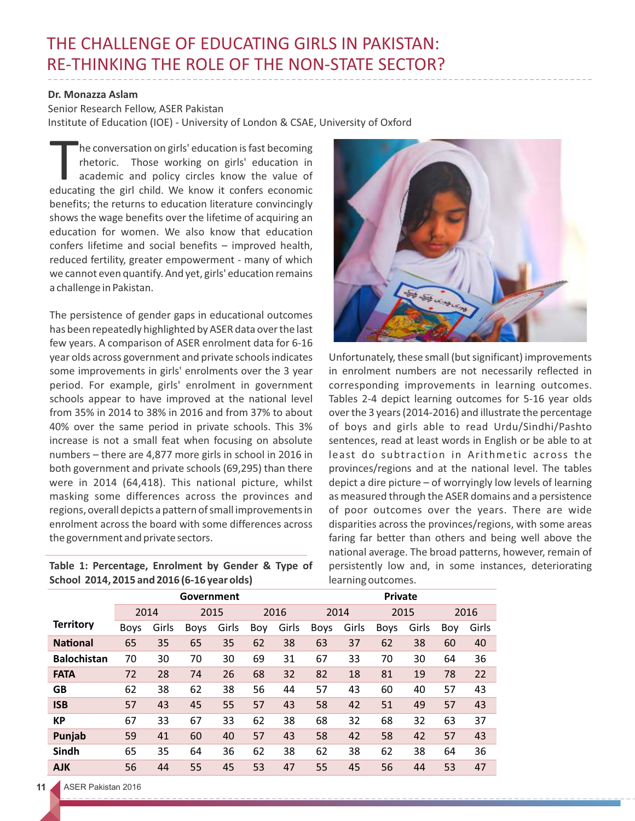## THE CHALLENGE OF EDUCATING GIRLS IN PAKISTAN: RE-THINKING THE ROLE OF THE NON-STATE SECTOR?

## **Dr. Monazza Aslam**

Senior Research Fellow, ASER Pakistan Institute of Education (IOE) - University of London & CSAE, University of Oxford

he conversation on girls' education is fast becoming<br>
rhetoric. Those working on girls' education in<br>
academic and policy circles know the value of<br>
educating the girl child. We know it confers economic academic and policy circles know the value of benefits; the returns to education literature convincingly shows the wage benefits over the lifetime of acquiring an education for women. We also know that education confers lifetime and social benefits – improved health, reduced fertility, greater empowerment - many of which we cannot even quantify. And yet, girls' education remains a challenge in Pakistan.

The persistence of gender gaps in educational outcomes has been repeatedly highlighted by ASER data over the last few years. A comparison of ASER enrolment data for 6-16 year olds across government and private schools indicates some improvements in girls' enrolments over the 3 year period. For example, girls' enrolment in government schools appear to have improved at the national level from 35% in 2014 to 38% in 2016 and from 37% to about 40% over the same period in private schools. This 3% increase is not a small feat when focusing on absolute numbers – there are 4,877 more girls in school in 2016 in both government and private schools (69,295) than there were in 2014 (64,418). This national picture, whilst masking some differences across the provinces and regions, overall depicts a pattern of small improvements in enrolment across the board with some differences across the government and private sectors.

**Table 1: Percentage, Enrolment by Gender & Type of School 2014, 2015 and 2016 (6-16 year olds)**



Unfortunately, these small (but significant) improvements in enrolment numbers are not necessarily reflected in corresponding improvements in learning outcomes. Tables 2-4 depict learning outcomes for 5-16 year olds over the 3 years (2014-2016) and illustrate the percentage of boys and girls able to read Urdu/Sindhi/Pashto sentences, read at least words in English or be able to at least do subtraction in Arithmetic across the provinces/regions and at the national level. The tables depict a dire picture – of worryingly low levels of learning as measured through the ASER domains and a persistence of poor outcomes over the years. There are wide disparities across the provinces/regions, with some areas faring far better than others and being well above the national average. The broad patterns, however, remain of persistently low and, in some instances, deteriorating learning outcomes.

|                    | Government  |       |      |       |     |       | <b>Private</b> |       |      |       |     |       |  |
|--------------------|-------------|-------|------|-------|-----|-------|----------------|-------|------|-------|-----|-------|--|
|                    | 2014        |       |      | 2015  |     | 2016  |                | 2014  |      | 2015  |     | 2016  |  |
| <b>Territory</b>   | <b>Boys</b> | Girls | Boys | Girls | Boy | Girls | <b>Boys</b>    | Girls | Boys | Girls | Boy | Girls |  |
| <b>National</b>    | 65          | 35    | 65   | 35    | 62  | 38    | 63             | 37    | 62   | 38    | 60  | 40    |  |
| <b>Balochistan</b> | 70          | 30    | 70   | 30    | 69  | 31    | 67             | 33    | 70   | 30    | 64  | 36    |  |
| <b>FATA</b>        | 72          | 28    | 74   | 26    | 68  | 32    | 82             | 18    | 81   | 19    | 78  | 22    |  |
| <b>GB</b>          | 62          | 38    | 62   | 38    | 56  | 44    | 57             | 43    | 60   | 40    | 57  | 43    |  |
| <b>ISB</b>         | 57          | 43    | 45   | 55    | 57  | 43    | 58             | 42    | 51   | 49    | 57  | 43    |  |
| <b>KP</b>          | 67          | 33    | 67   | 33    | 62  | 38    | 68             | 32    | 68   | 32    | 63  | 37    |  |
| Punjab             | 59          | 41    | 60   | 40    | 57  | 43    | 58             | 42    | 58   | 42    | 57  | 43    |  |
| Sindh              | 65          | 35    | 64   | 36    | 62  | 38    | 62             | 38    | 62   | 38    | 64  | 36    |  |
| <b>AJK</b>         | 56          | 44    | 55   | 45    | 53  | 47    | 55             | 45    | 56   | 44    | 53  | 47    |  |

## **11** ASER Pakistan 2016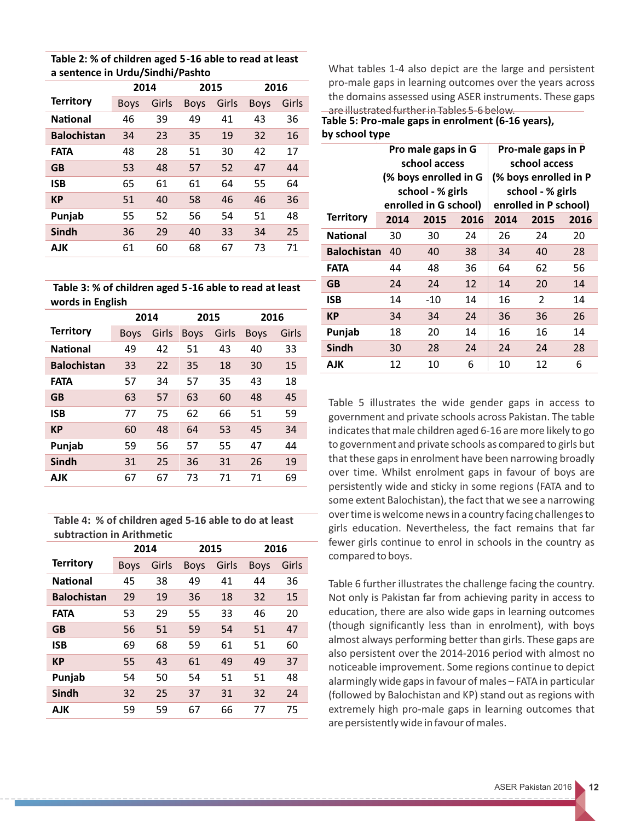| Table 2: % of children aged 5-16 able to read at least |
|--------------------------------------------------------|
| a sentence in Urdu/Sindhi/Pashto                       |

|                    | 2014        |       | 2015        |       | 2016        |       |  |
|--------------------|-------------|-------|-------------|-------|-------------|-------|--|
| <b>Territory</b>   | <b>Boys</b> | Girls | <b>Boys</b> | Girls | <b>Boys</b> | Girls |  |
| <b>National</b>    | 46          | 39    | 49          | 41    | 43          | 36    |  |
| <b>Balochistan</b> | 34          | 23    | 35          | 19    | 32          | 16    |  |
| <b>FATA</b>        | 48          | 28    | 51          | 30    | 42          | 17    |  |
| <b>GB</b>          | 53          | 48    | 57          | 52    | 47          | 44    |  |
| <b>ISB</b>         | 65          | 61    | 61          | 64    | 55          | 64    |  |
| <b>KP</b>          | 51          | 40    | 58          | 46    | 46          | 36    |  |
| Punjab             | 55          | 52    | 56          | 54    | 51          | 48    |  |
| Sindh              | 36          | 29    | 40          | 33    | 34          | 25    |  |
| AJK                | 61          | 60    | 68          | 67    | 73          | 71    |  |

 **Table 3: % of children aged 5-16 able to read at least words in English**

|                    |             | 2014  |             | 2015  | 2016        |       |
|--------------------|-------------|-------|-------------|-------|-------------|-------|
| <b>Territory</b>   | <b>Boys</b> | Girls | <b>Boys</b> | Girls | <b>Boys</b> | Girls |
| National           | 49          | 42    | 51          | 43    | 40          | 33    |
| <b>Balochistan</b> | 33          | 22    | 35          | 18    | 30          | 15    |
| <b>FATA</b>        | 57          | 34    | 57          | 35    | 43          | 18    |
| <b>GB</b>          | 63          | 57    | 63          | 60    | 48          | 45    |
| ISB                | 77          | 75    | 62          | 66    | 51          | 59    |
| <b>KP</b>          | 60          | 48    | 64          | 53    | 45          | 34    |
| Punjab             | 59          | 56    | 57          | 55    | 47          | 44    |
| Sindh              | 31          | 25    | 36          | 31    | 26          | 19    |
| AJK                | 67          | 67    | 73          | 71    | 71          | 69    |

**Table 4: % of children aged 5-16 able to do at least subtraction in Arithmetic** 

|                    | 2014        |       | 2015        |       | 2016        |       |  |
|--------------------|-------------|-------|-------------|-------|-------------|-------|--|
| <b>Territory</b>   | <b>Boys</b> | Girls | <b>Boys</b> | Girls | <b>Boys</b> | Girls |  |
| <b>National</b>    | 45          | 38    | 49          | 41    | 44          | 36    |  |
| <b>Balochistan</b> | 29          | 19    | 36          | 18    | 32          | 15    |  |
| <b>FATA</b>        | 53          | 29    | 55          | 33    | 46          | 20    |  |
| <b>GB</b>          | 56          | 51    | 59          | 54    | 51          | 47    |  |
| ISB                | 69          | 68    | 59          | 61    | 51          | 60    |  |
| КP                 | 55          | 43    | 61          | 49    | 49          | 37    |  |
| Punjab             | 54          | 50    | 54          | 51    | 51          | 48    |  |
| Sindh              | 32          | 25    | 37          | 31    | 32          | 24    |  |
| AJK                | 59          | 59    | 67          | 66    | 77          | 75    |  |

What tables 1-4 also depict are the large and persistent pro-male gaps in learning outcomes over the years across the domains assessed using ASER instruments. These gaps are illustrated further in Tables 5-6 below.

**Table 5: Pro-male gaps in enrolment (6-16 years), by school type**

|                    |      | Pro male gaps in G<br>school access<br>(% boys enrolled in G<br>school - % girls<br>enrolled in G school) |      | Pro-male gaps in P<br>school access<br>(% boys enrolled in P<br>school - % girls<br>enrolled in P school) |      |      |  |
|--------------------|------|-----------------------------------------------------------------------------------------------------------|------|-----------------------------------------------------------------------------------------------------------|------|------|--|
| <b>Territory</b>   | 2014 | 2015                                                                                                      | 2016 | 2014                                                                                                      | 2015 | 2016 |  |
| National           | 30   | 30                                                                                                        | 24   | 26                                                                                                        | 24   | 20   |  |
| <b>Balochistan</b> | 40   | 40                                                                                                        | 38   | 34                                                                                                        | 40   | 28   |  |
| Fata               | 44   | 48                                                                                                        | 36   | 64                                                                                                        | 62   | 56   |  |
| <b>GB</b>          | 24   | 24                                                                                                        | 12   | 14                                                                                                        | 20   | 14   |  |
| ISB                | 14   | $-10$                                                                                                     | 14   | 16                                                                                                        | 2    | 14   |  |
| КP                 | 34   | 34                                                                                                        | 24   | 36                                                                                                        | 36   | 26   |  |
| Punjab             | 18   | 20                                                                                                        | 14   | 16                                                                                                        | 16   | 14   |  |
| <b>Sindh</b>       | 30   | 28                                                                                                        | 24   | 24                                                                                                        | 24   | 28   |  |
| AJK                | 12   | 10                                                                                                        | 6    | 10                                                                                                        | 12   | 6    |  |

Table 5 illustrates the wide gender gaps in access to government and private schools across Pakistan. The table indicates that male children aged 6-16 are more likely to go to government and private schools as compared to girls but that these gaps in enrolment have been narrowing broadly over time. Whilst enrolment gaps in favour of boys are persistently wide and sticky in some regions (FATA and to some extent Balochistan), the fact that we see a narrowing over time is welcome news in a country facing challenges to girls education. Nevertheless, the fact remains that far fewer girls continue to enrol in schools in the country as compared to boys.

Table 6 further illustrates the challenge facing the country. Not only is Pakistan far from achieving parity in access to education, there are also wide gaps in learning outcomes (though significantly less than in enrolment), with boys almost always performing better than girls. These gaps are also persistent over the 2014-2016 period with almost no noticeable improvement. Some regions continue to depict alarmingly wide gaps in favour of males – FATA in particular (followed by Balochistan and KP) stand out as regions with extremely high pro-male gaps in learning outcomes that are persistently wide in favour of males.